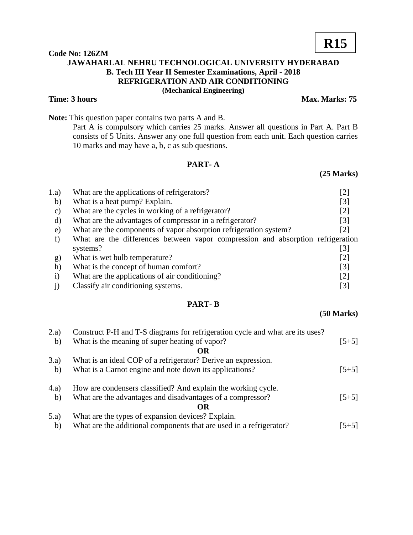## **Code No: 126ZM JAWAHARLAL NEHRU TECHNOLOGICAL UNIVERSITY HYDERABAD B. Tech III Year II Semester Examinations, April - 2018 REFRIGERATION AND AIR CONDITIONING (Mechanical Engineering)**

#### **Time: 3 hours** Max. Marks: 75

**Note:** This question paper contains two parts A and B.

Part A is compulsory which carries 25 marks. Answer all questions in Part A. Part B consists of 5 Units. Answer any one full question from each unit. Each question carries 10 marks and may have a, b, c as sub questions.

## **PART- A**

## **(25 Marks)**

| 1.a)          | What are the applications of refrigerators?                                     | $\left\lceil 2 \right\rceil$ |
|---------------|---------------------------------------------------------------------------------|------------------------------|
| b)            | What is a heat pump? Explain.                                                   | $\lceil 3 \rceil$            |
| $\mathbf{c})$ | What are the cycles in working of a refrigerator?                               | $\lceil 2 \rceil$            |
| d)            | What are the advantages of compressor in a refrigerator?                        | $\lceil 3 \rceil$            |
| e)            | What are the components of vapor absorption refrigeration system?               | [2]                          |
|               | What are the differences between vapor compression and absorption refrigeration |                              |
|               | systems?                                                                        | [3]                          |
| g)            | What is wet bulb temperature?                                                   | $[2]$                        |
| h)            | What is the concept of human comfort?                                           | $\lceil 3 \rceil$            |
| $\bf{1)}$     | What are the applications of air conditioning?                                  | $\lceil 2 \rceil$            |
|               | Classify air conditioning systems.                                              | $\lceil 3 \rceil$            |

## **PART- B**

**(50 Marks)**

| 2.a)  | Construct P-H and T-S diagrams for refrigeration cycle and what are its uses? |         |
|-------|-------------------------------------------------------------------------------|---------|
| b)    | What is the meaning of super heating of vapor?                                | $[5+5]$ |
|       | OR                                                                            |         |
| 3.a)  | What is an ideal COP of a refrigerator? Derive an expression.                 |         |
| b)    | What is a Carnot engine and note down its applications?                       | $[5+5]$ |
| (4.a) | How are condensers classified? And explain the working cycle.                 |         |
| b)    | What are the advantages and disadvantages of a compressor?                    | $[5+5]$ |
|       | OR.                                                                           |         |
| 5.a)  | What are the types of expansion devices? Explain.                             |         |
| b)    | What are the additional components that are used in a refrigerator?           | $[5+5]$ |

# **R15**